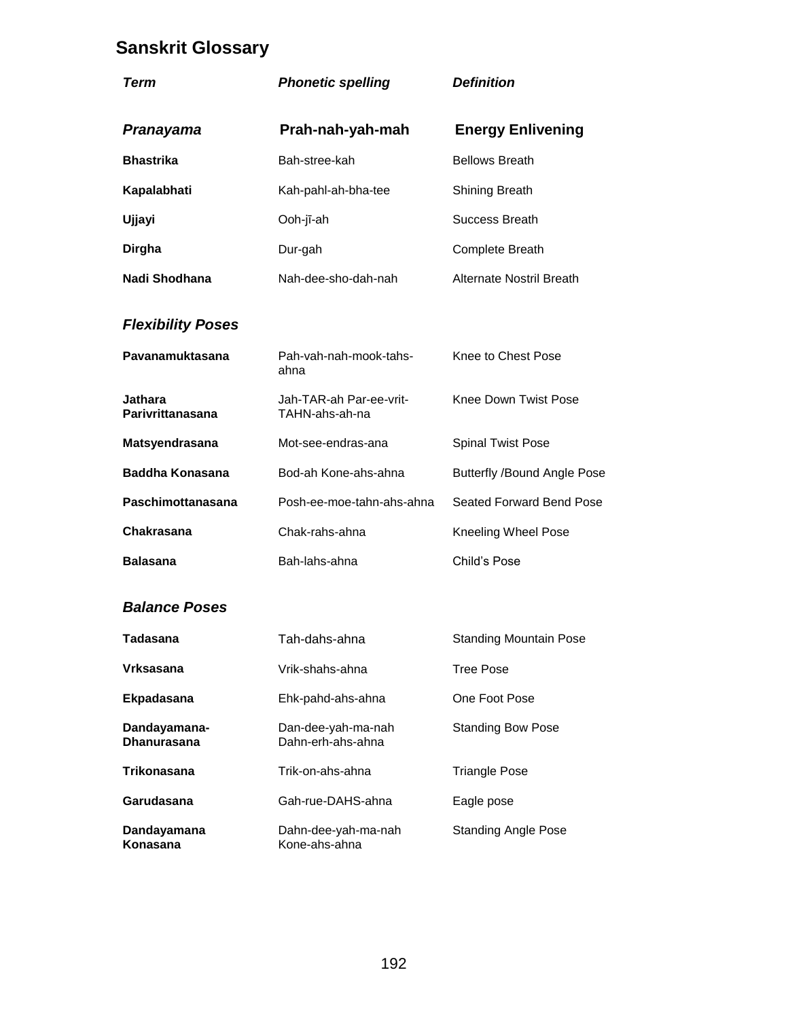# **Sanskrit Glossary**

| Term                               | <b>Phonetic spelling</b>                  | <b>Definition</b>                  |
|------------------------------------|-------------------------------------------|------------------------------------|
| Pranayama                          | Prah-nah-yah-mah                          | <b>Energy Enlivening</b>           |
| <b>Bhastrika</b>                   | Bah-stree-kah                             | <b>Bellows Breath</b>              |
| Kapalabhati                        | Kah-pahl-ah-bha-tee                       | <b>Shining Breath</b>              |
| Ujjayi                             | Ooh-jī-ah                                 | <b>Success Breath</b>              |
| <b>Dirgha</b>                      | Dur-gah                                   | <b>Complete Breath</b>             |
| Nadi Shodhana                      | Nah-dee-sho-dah-nah                       | <b>Alternate Nostril Breath</b>    |
| <b>Flexibility Poses</b>           |                                           |                                    |
| Pavanamuktasana                    | Pah-vah-nah-mook-tahs-<br>ahna            | Knee to Chest Pose                 |
| <b>Jathara</b><br>Parivrittanasana | Jah-TAR-ah Par-ee-vrit-<br>TAHN-ahs-ah-na | Knee Down Twist Pose               |
| Matsyendrasana                     | Mot-see-endras-ana                        | <b>Spinal Twist Pose</b>           |
| <b>Baddha Konasana</b>             | Bod-ah Kone-ahs-ahna                      | <b>Butterfly /Bound Angle Pose</b> |
| Paschimottanasana                  | Posh-ee-moe-tahn-ahs-ahna                 | Seated Forward Bend Pose           |
| Chakrasana                         | Chak-rahs-ahna                            | <b>Kneeling Wheel Pose</b>         |
| <b>Balasana</b>                    | Bah-lahs-ahna                             | Child's Pose                       |
| <b>Balance Poses</b>               |                                           |                                    |
| <b>Tadasana</b>                    | Tah-dahs-ahna                             | <b>Standing Mountain Pose</b>      |

| Tauasana                           | i di Fudi is-di il id                   | Stariumy Mountain Fus      |
|------------------------------------|-----------------------------------------|----------------------------|
| Vrksasana                          | Vrik-shahs-ahna                         | Tree Pose                  |
| <b>Ekpadasana</b>                  | Ehk-pahd-ahs-ahna                       | One Foot Pose              |
| Dandayamana-<br><b>Dhanurasana</b> | Dan-dee-yah-ma-nah<br>Dahn-erh-ahs-ahna | <b>Standing Bow Pose</b>   |
| Trikonasana                        | Trik-on-ahs-ahna                        | <b>Triangle Pose</b>       |
| Garudasana                         | Gah-rue-DAHS-ahna                       | Eagle pose                 |
| Dandayamana<br>Konasana            | Dahn-dee-yah-ma-nah<br>Kone-ahs-ahna    | <b>Standing Angle Pose</b> |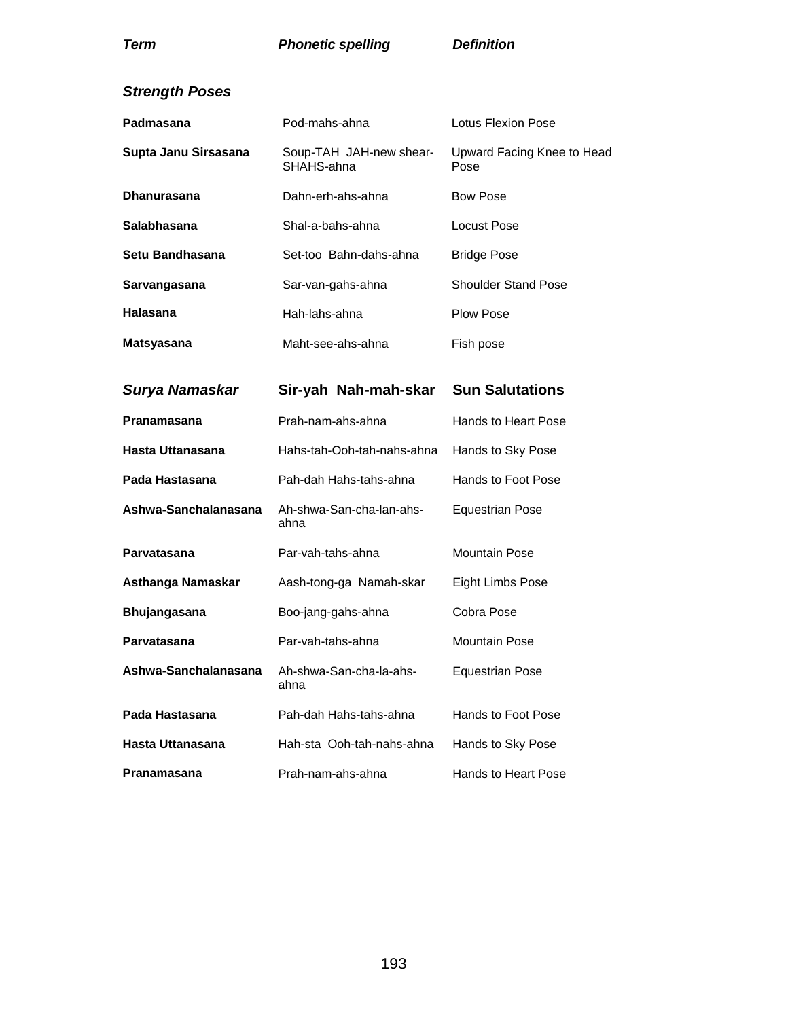Equestrian Pose

| Padmasana            | Pod-mahs-ahna                         | Lotus Flexion Pose                 |
|----------------------|---------------------------------------|------------------------------------|
| Supta Janu Sirsasana | Soup-TAH JAH-new shear-<br>SHAHS-ahna | Upward Facing Knee to Head<br>Pose |
| <b>Dhanurasana</b>   | Dahn-erh-ahs-ahna                     | <b>Bow Pose</b>                    |
| <b>Salabhasana</b>   | Shal-a-bahs-ahna                      | Locust Pose                        |
| Setu Bandhasana      | Set-too Bahn-dahs-ahna                | <b>Bridge Pose</b>                 |
| Sarvangasana         | Sar-van-gahs-ahna                     | <b>Shoulder Stand Pose</b>         |
| Halasana             | Hah-lahs-ahna                         | <b>Plow Pose</b>                   |
| <b>Matsyasana</b>    | Maht-see-ahs-ahna                     | Fish pose                          |
|                      |                                       |                                    |
| Surya Namaskar       | Sir-yah Nah-mah-skar                  | <b>Sun Salutations</b>             |
| Pranamasana          | Prah-nam-ahs-ahna                     | Hands to Heart Pose                |
| Hasta Uttanasana     | Hahs-tah-Ooh-tah-nahs-ahna            | Hands to Sky Pose                  |
| Pada Hastasana       | Pah-dah Hahs-tahs-ahna                | Hands to Foot Pose                 |
| Ashwa-Sanchalanasana | Ah-shwa-San-cha-lan-ahs-<br>ahna      | <b>Equestrian Pose</b>             |
| Parvatasana          | Par-vah-tahs-ahna                     | <b>Mountain Pose</b>               |
| Asthanga Namaskar    | Aash-tong-ga Namah-skar               | <b>Eight Limbs Pose</b>            |

**Parvatasana** Par-vah-tahs-ahna Mountain Pose

Pada Hastasana **Pah-dah Hahs-tahs-ahna** Hands to Foot Pose

**Hasta Uttanasana** Hah-sta Ooh-tah-nahs-ahna Hands to Sky Pose

**Pranamasana** Prah-nam-ahs-ahna Hands to Heart Pose

**Ashwa-Sanchalanasana** Ah-shwa-San-cha-la-ahs-

ahna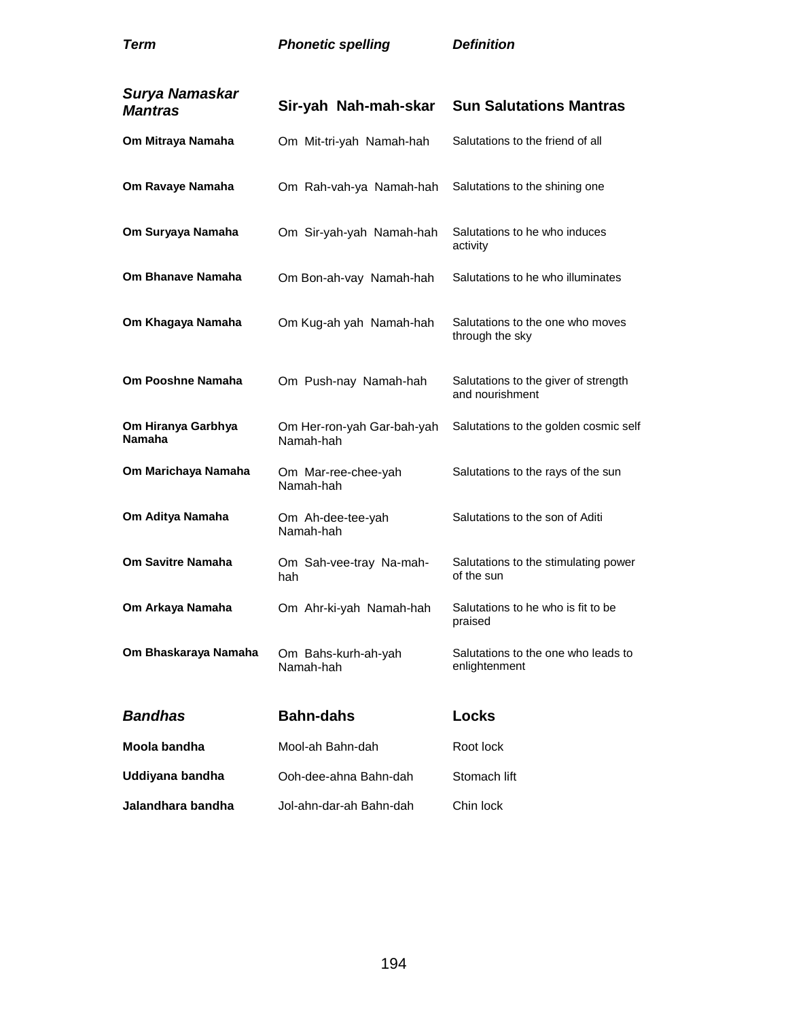| Surya Namaskar<br><b>Mantras</b>    | Sir-yah Nah-mah-skar                    | <b>Sun Salutations Mantras</b>                          |
|-------------------------------------|-----------------------------------------|---------------------------------------------------------|
| Om Mitraya Namaha                   | Om Mit-tri-yah Namah-hah                | Salutations to the friend of all                        |
| Om Ravaye Namaha                    | Om Rah-vah-ya Namah-hah                 | Salutations to the shining one                          |
| Om Suryaya Namaha                   | Om Sir-yah-yah Namah-hah                | Salutations to he who induces<br>activity               |
| Om Bhanave Namaha                   | Om Bon-ah-vay Namah-hah                 | Salutations to he who illuminates                       |
| Om Khagaya Namaha                   | Om Kug-ah yah Namah-hah                 | Salutations to the one who moves<br>through the sky     |
| <b>Om Pooshne Namaha</b>            | Om Push-nay Namah-hah                   | Salutations to the giver of strength<br>and nourishment |
| Om Hiranya Garbhya<br><b>Namaha</b> | Om Her-ron-yah Gar-bah-yah<br>Namah-hah | Salutations to the golden cosmic self                   |
| Om Marichaya Namaha                 | Om Mar-ree-chee-yah<br>Namah-hah        | Salutations to the rays of the sun                      |
| Om Aditya Namaha                    | Om Ah-dee-tee-yah<br>Namah-hah          | Salutations to the son of Aditi                         |
| Om Savitre Namaha                   | Om Sah-vee-tray Na-mah-<br>hah          | Salutations to the stimulating power<br>of the sun      |
| Om Arkaya Namaha                    | Om Ahr-ki-yah Namah-hah                 | Salutations to he who is fit to be<br>praised           |
| Om Bhaskaraya Namaha                | Om Bahs-kurh-ah-yah<br>Namah-hah        | Salutations to the one who leads to<br>enlightenment    |
| <b>Bandhas</b>                      | <b>Bahn-dahs</b>                        | <b>Locks</b>                                            |
| Moola bandha                        | Mool-ah Bahn-dah                        | Root lock                                               |
| Uddiyana bandha                     | Ooh-dee-ahna Bahn-dah                   | Stomach lift                                            |
| Jalandhara bandha                   | Jol-ahn-dar-ah Bahn-dah                 | Chin lock                                               |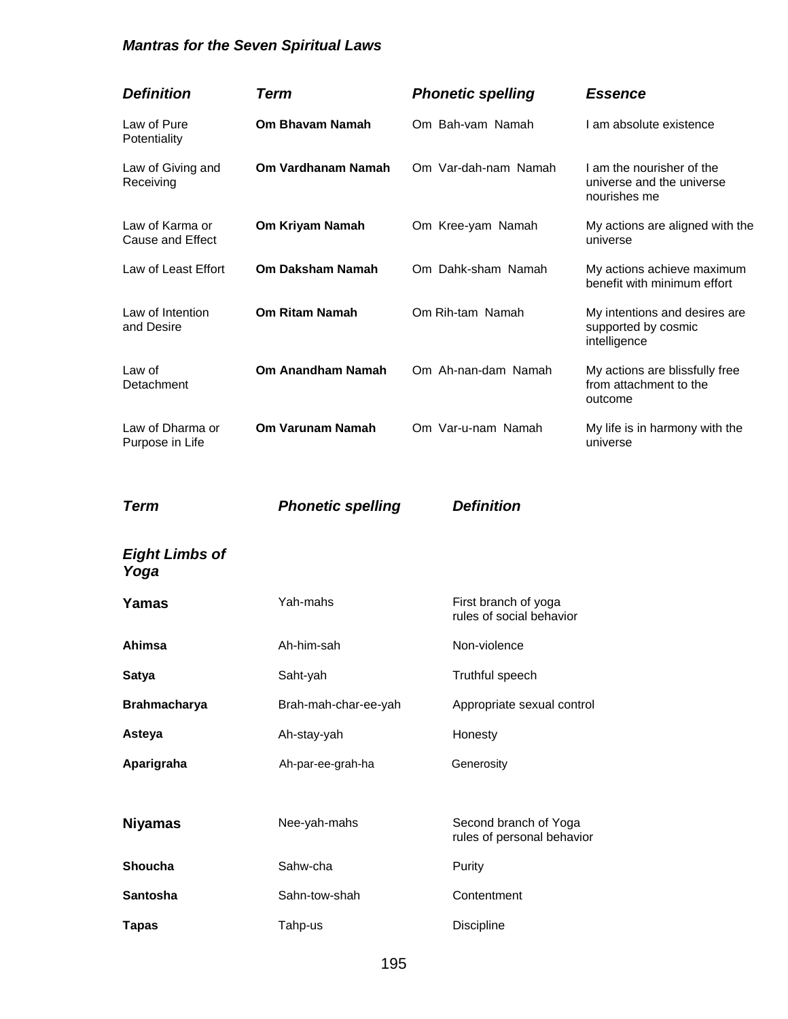## *Mantras for the Seven Spiritual Laws*

| <b>Definition</b>                          | <b>Term</b>              | <b>Phonetic spelling</b>                            | <b>Essence</b>                                                         |
|--------------------------------------------|--------------------------|-----------------------------------------------------|------------------------------------------------------------------------|
| Law of Pure<br>Potentiality                | Om Bhavam Namah          | Om Bah-vam Namah                                    | I am absolute existence                                                |
| Law of Giving and<br>Receiving             | Om Vardhanam Namah       | Om Var-dah-nam Namah                                | I am the nourisher of the<br>universe and the universe<br>nourishes me |
| Law of Karma or<br><b>Cause and Effect</b> | Om Kriyam Namah          | Om Kree-yam Namah                                   | My actions are aligned with the<br>universe                            |
| Law of Least Effort                        | <b>Om Daksham Namah</b>  | Om Dahk-sham Namah                                  | My actions achieve maximum<br>benefit with minimum effort              |
| Law of Intention<br>and Desire             | <b>Om Ritam Namah</b>    | Om Rih-tam Namah                                    | My intentions and desires are<br>supported by cosmic<br>intelligence   |
| Law of<br>Detachment                       | Om Anandham Namah        | Om Ah-nan-dam Namah                                 | My actions are blissfully free<br>from attachment to the<br>outcome    |
| Law of Dharma or<br>Purpose in Life        | Om Varunam Namah         | Om Var-u-nam Namah                                  | My life is in harmony with the<br>universe                             |
| <b>Term</b>                                | <b>Phonetic spelling</b> | <b>Definition</b>                                   |                                                                        |
| <b>Eight Limbs of</b><br>Yoga              |                          |                                                     |                                                                        |
| Yamas                                      | Yah-mahs                 | First branch of yoga<br>rules of social behavior    |                                                                        |
| Ahimsa                                     | Ah-him-sah               | Non-violence                                        |                                                                        |
| <b>Satya</b>                               | Saht-yah                 | Truthful speech                                     |                                                                        |
| <b>Brahmacharya</b>                        | Brah-mah-char-ee-yah     | Appropriate sexual control                          |                                                                        |
| Asteya                                     | Ah-stay-yah              | Honesty                                             |                                                                        |
| Aparigraha                                 | Ah-par-ee-grah-ha        | Generosity                                          |                                                                        |
| <b>Niyamas</b>                             | Nee-yah-mahs             | Second branch of Yoga<br>rules of personal behavior |                                                                        |
| Shoucha                                    | Sahw-cha                 | Purity                                              |                                                                        |
| Santosha                                   | Sahn-tow-shah            | Contentment                                         |                                                                        |
| <b>Tapas</b>                               | Tahp-us                  | Discipline                                          |                                                                        |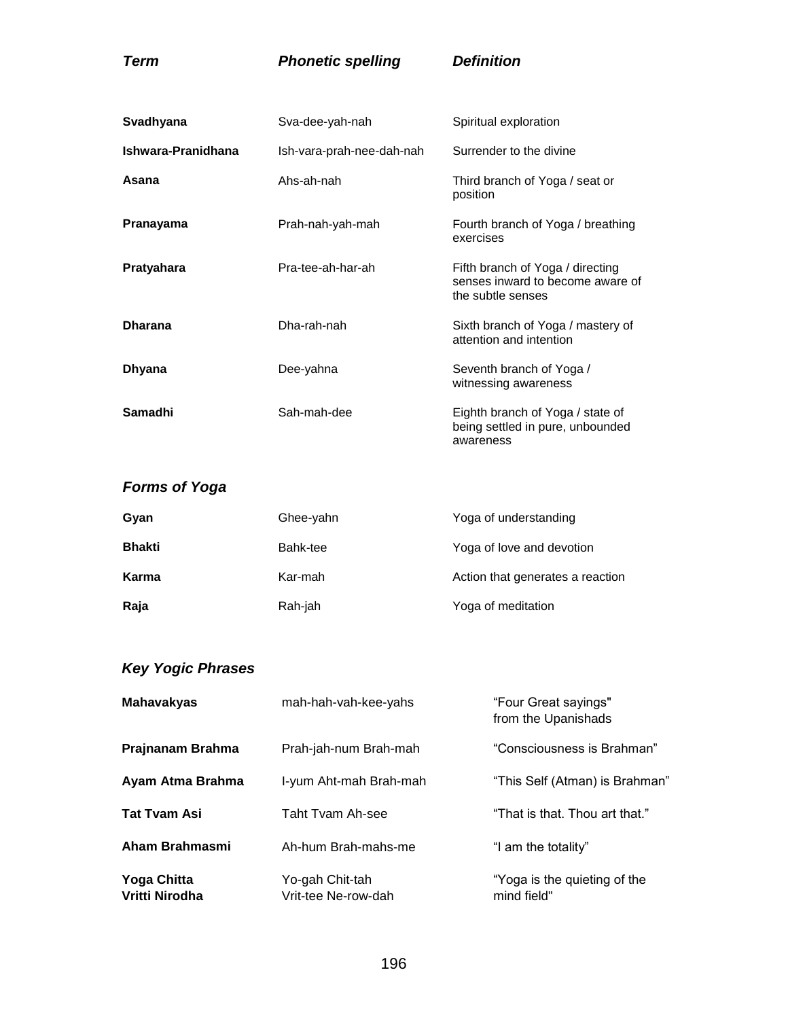| Svadhyana          | Sva-dee-yah-nah           | Spiritual exploration                                                                     |
|--------------------|---------------------------|-------------------------------------------------------------------------------------------|
| Ishwara-Pranidhana | lsh-vara-prah-nee-dah-nah | Surrender to the divine                                                                   |
| Asana              | Ahs-ah-nah                | Third branch of Yoga / seat or<br>position                                                |
| Pranayama          | Prah-nah-yah-mah          | Fourth branch of Yoga / breathing<br>exercises                                            |
| Pratyahara         | Pra-tee-ah-har-ah         | Fifth branch of Yoga / directing<br>senses inward to become aware of<br>the subtle senses |
| <b>Dharana</b>     | Dha-rah-nah               | Sixth branch of Yoga / mastery of<br>attention and intention                              |
| Dhyana             | Dee-yahna                 | Seventh branch of Yoga /<br>witnessing awareness                                          |
| Samadhi            | Sah-mah-dee               | Eighth branch of Yoga / state of<br>being settled in pure, unbounded<br>awareness         |

## *Forms of Yoga*

| Gyan          | Ghee-yahn | Yoga of understanding            |
|---------------|-----------|----------------------------------|
| <b>Bhakti</b> | Bahk-tee  | Yoga of love and devotion        |
| Karma         | Kar-mah   | Action that generates a reaction |
| Raja          | Rah-jah   | Yoga of meditation               |

## *Key Yogic Phrases*

| <b>Mahavakyas</b>                    | mah-hah-vah-kee-yahs                   | "Four Great sayings"<br>from the Upanishads |
|--------------------------------------|----------------------------------------|---------------------------------------------|
| Prajnanam Brahma                     | Prah-jah-num Brah-mah                  | "Consciousness is Brahman"                  |
| Ayam Atma Brahma                     | I-yum Aht-mah Brah-mah                 | "This Self (Atman) is Brahman"              |
| <b>Tat Tvam Asi</b>                  | Taht Tvam Ah-see                       | "That is that. Thou art that."              |
| Aham Brahmasmi                       | Ah-hum Brah-mahs-me                    | "I am the totality"                         |
| <b>Yoga Chitta</b><br>Vritti Nirodha | Yo-gah Chit-tah<br>Vrit-tee Ne-row-dah | "Yoga is the quieting of the<br>mind field" |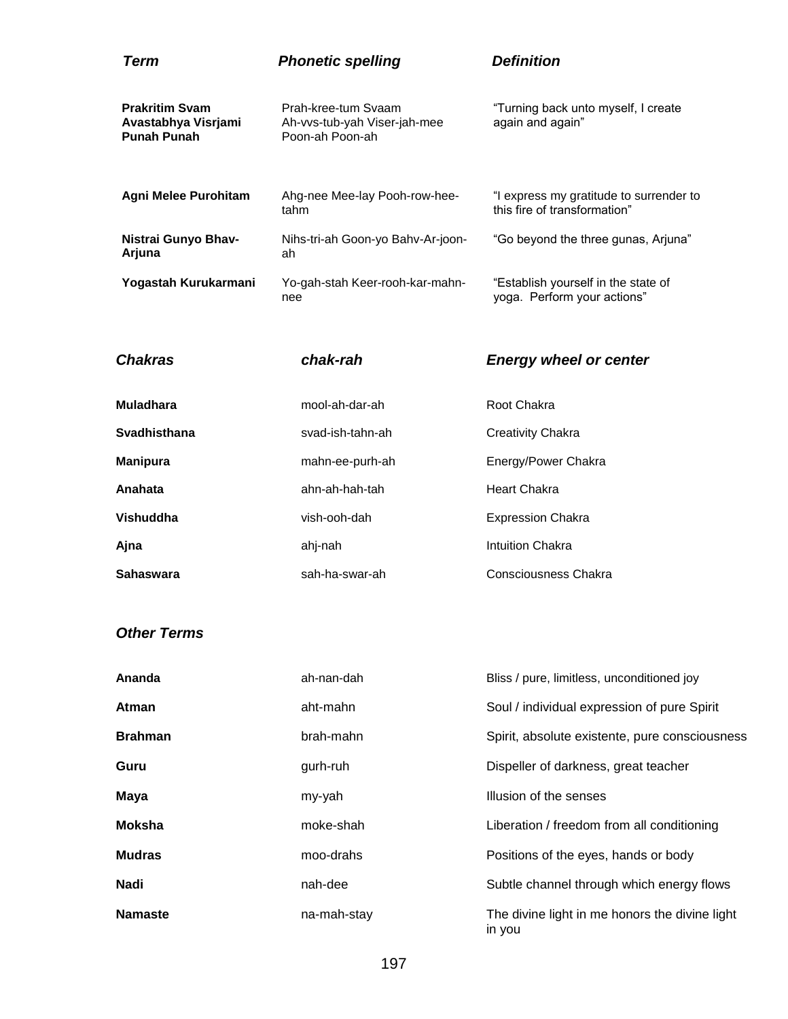| Term                                                               | <b>Phonetic spelling</b>                                               | <b>Definition</b>                                                       |
|--------------------------------------------------------------------|------------------------------------------------------------------------|-------------------------------------------------------------------------|
| <b>Prakritim Svam</b><br>Avastabhya Visrjami<br><b>Punah Punah</b> | Prah-kree-tum Svaam<br>Ah-vvs-tub-yah Viser-jah-mee<br>Poon-ah Poon-ah | "Turning back unto myself, I create<br>again and again"                 |
| <b>Agni Melee Purohitam</b>                                        | Ahg-nee Mee-lay Pooh-row-hee-<br>tahm                                  | "I express my gratitude to surrender to<br>this fire of transformation" |
| Nistrai Gunyo Bhav-<br>Arjuna                                      | Nihs-tri-ah Goon-yo Bahy-Ar-joon-<br>ah                                | "Go beyond the three gunas, Arjuna"                                     |
| Yogastah Kurukarmani                                               | Yo-gah-stah Keer-rooh-kar-mahn-<br>nee                                 | "Establish yourself in the state of<br>yoga. Perform your actions"      |

| <b>Chakras</b>   | chak-rah         | <b>Energy wheel or center</b> |
|------------------|------------------|-------------------------------|
| <b>Muladhara</b> | mool-ah-dar-ah   | Root Chakra                   |
| Svadhisthana     | svad-ish-tahn-ah | Creativity Chakra             |
| <b>Manipura</b>  | mahn-ee-purh-ah  | Energy/Power Chakra           |
| Anahata          | ahn-ah-hah-tah   | <b>Heart Chakra</b>           |
| Vishuddha        | vish-ooh-dah     | <b>Expression Chakra</b>      |
| Ajna             | ahi-nah          | <b>Intuition Chakra</b>       |
| Sahaswara        | sah-ha-swar-ah   | Consciousness Chakra          |

#### *Other Terms*

| Ananda         | ah-nan-dah  | Bliss / pure, limitless, unconditioned joy               |
|----------------|-------------|----------------------------------------------------------|
| Atman          | aht-mahn    | Soul / individual expression of pure Spirit              |
| <b>Brahman</b> | brah-mahn   | Spirit, absolute existente, pure consciousness           |
| Guru           | gurh-ruh    | Dispeller of darkness, great teacher                     |
| <b>Maya</b>    | my-yah      | Illusion of the senses                                   |
| <b>Moksha</b>  | moke-shah   | Liberation / freedom from all conditioning               |
| <b>Mudras</b>  | moo-drahs   | Positions of the eyes, hands or body                     |
| Nadi           | nah-dee     | Subtle channel through which energy flows                |
| <b>Namaste</b> | na-mah-stay | The divine light in me honors the divine light<br>in you |